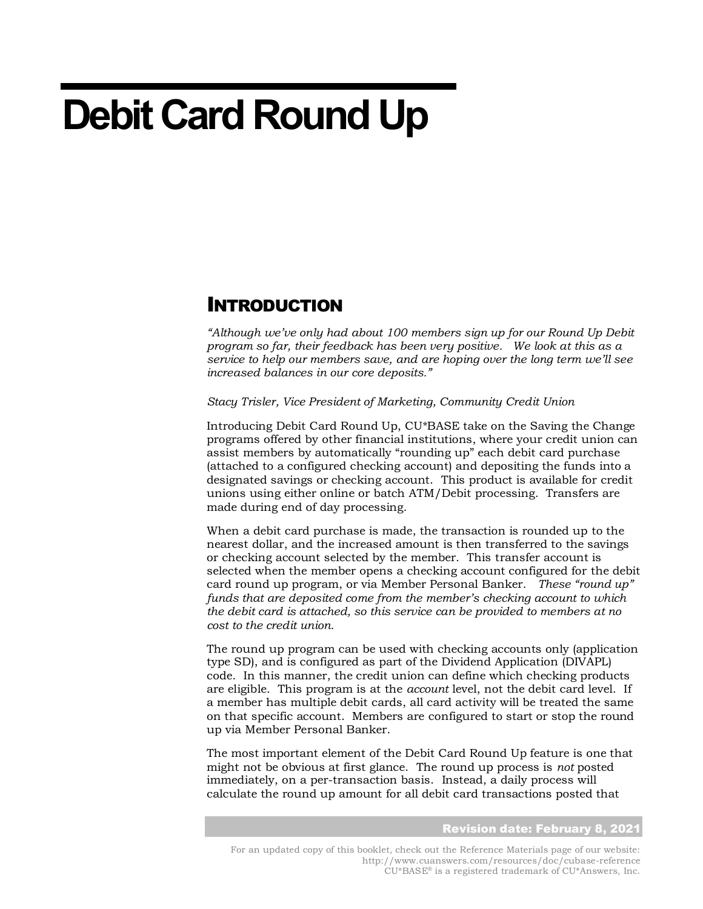# **Debit Card Round Up**

### INTRODUCTION

*"Although we've only had about 100 members sign up for our Round Up Debit program so far, their feedback has been very positive. We look at this as a service to help our members save, and are hoping over the long term we'll see increased balances in our core deposits."*

*Stacy Trisler, Vice President of Marketing, Community Credit Union*

Introducing Debit Card Round Up, CU\*BASE take on the Saving the Change programs offered by other financial institutions, where your credit union can assist members by automatically "rounding up" each debit card purchase (attached to a configured checking account) and depositing the funds into a designated savings or checking account. This product is available for credit unions using either online or batch ATM/Debit processing. Transfers are made during end of day processing.

When a debit card purchase is made, the transaction is rounded up to the nearest dollar, and the increased amount is then transferred to the savings or checking account selected by the member. This transfer account is selected when the member opens a checking account configured for the debit card round up program, or via Member Personal Banker. *These "round up" funds that are deposited come from the member's checking account to which the debit card is attached, so this service can be provided to members at no cost to the credit union.*

The round up program can be used with checking accounts only (application type SD), and is configured as part of the Dividend Application (DIVAPL) code. In this manner, the credit union can define which checking products are eligible. This program is at the *account* level, not the debit card level. If a member has multiple debit cards, all card activity will be treated the same on that specific account. Members are configured to start or stop the round up via Member Personal Banker.

The most important element of the Debit Card Round Up feature is one that might not be obvious at first glance. The round up process is *not* posted immediately, on a per-transaction basis.Instead, a daily process will calculate the round up amount for all debit card transactions posted that

#### Revision date: February 8, 2021

For an updated copy of this booklet, check out the Reference Materials page of our website: http://www.cuanswers.com/resources/doc/cubase-reference CU\*BASE® is a registered trademark of CU\*Answers, Inc.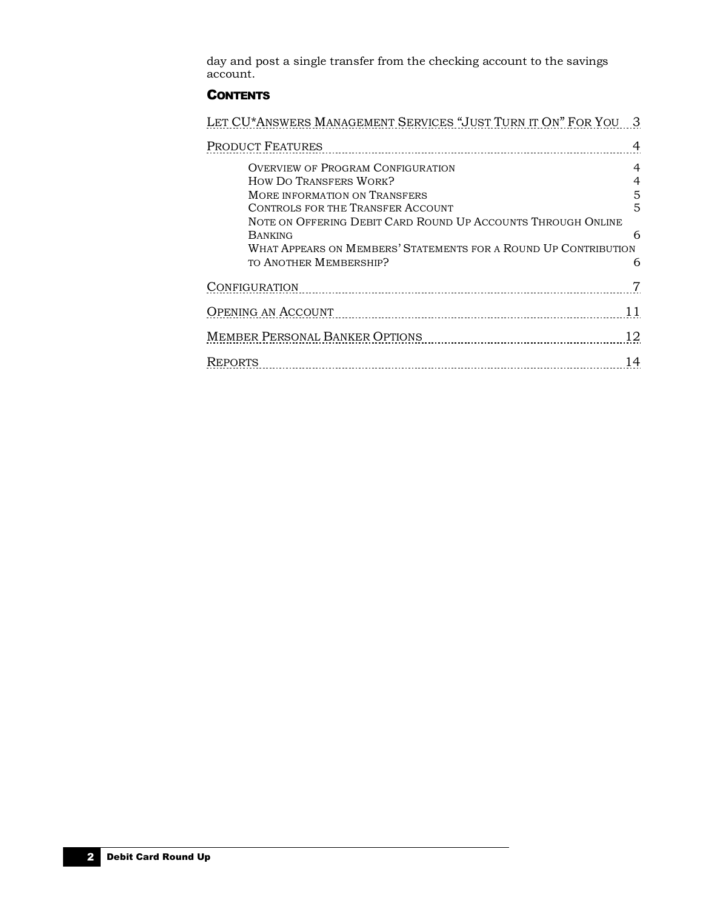day and post a single transfer from the checking account to the savings account.

#### **CONTENTS**

| - 3                                                                                      |
|------------------------------------------------------------------------------------------|
| 4                                                                                        |
| 4<br>5<br>5<br>6<br>What Appears on Members' Statements for a Round Up Contribution<br>6 |
|                                                                                          |
| 11                                                                                       |
| 12                                                                                       |
| 14                                                                                       |
|                                                                                          |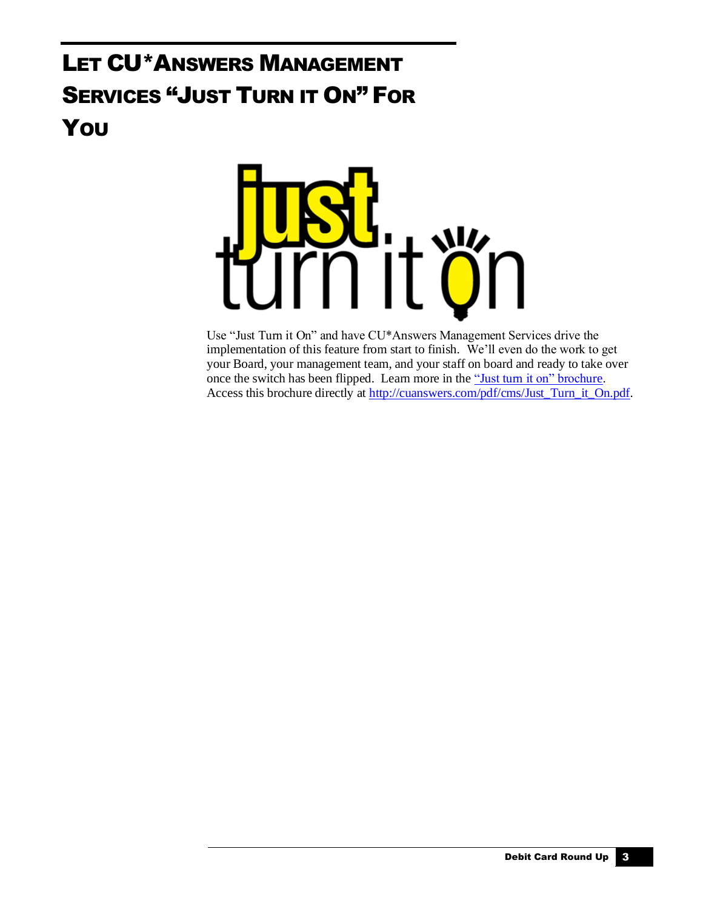## <span id="page-2-0"></span>LET CU\*ANSWERS MANAGEMENT SERVICES "JUST TURN IT ON" FOR **You**



Use "Just Turn it On" and have CU\*Answers Management Services drive the implementation of this feature from start to finish. We'll even do the work to get your Board, your management team, and your staff on board and ready to take over once the switch has been flipped. Learn more in th[e "Just turn it on" brochure.](http://cuanswers.com/pdf/cms/Just_Turn_it_On.pdf) Access this brochure directly at [http://cuanswers.com/pdf/cms/Just\\_Turn\\_it\\_On.pdf.](http://cuanswers.com/pdf/cms/Just_Turn_it_On.pdf)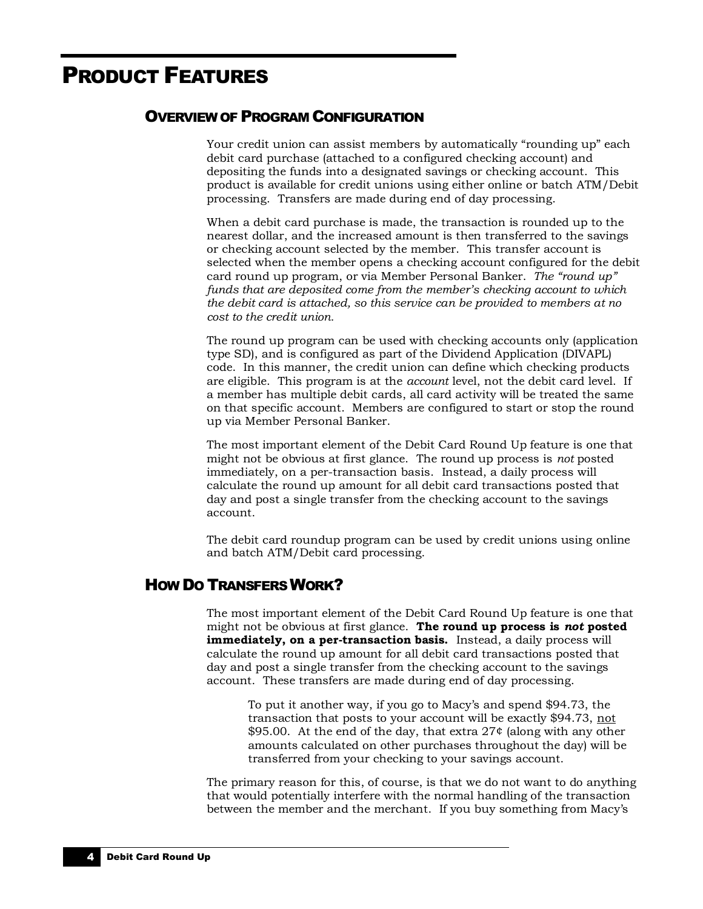### <span id="page-3-0"></span>PRODUCT FEATURES

#### <span id="page-3-1"></span>OVERVIEW OF PROGRAM CONFIGURATION

Your credit union can assist members by automatically "rounding up" each debit card purchase (attached to a configured checking account) and depositing the funds into a designated savings or checking account. This product is available for credit unions using either online or batch ATM/Debit processing. Transfers are made during end of day processing.

When a debit card purchase is made, the transaction is rounded up to the nearest dollar, and the increased amount is then transferred to the savings or checking account selected by the member. This transfer account is selected when the member opens a checking account configured for the debit card round up program, or via Member Personal Banker. *The "round up" funds that are deposited come from the member's checking account to which the debit card is attached, so this service can be provided to members at no cost to the credit union.* 

The round up program can be used with checking accounts only (application type SD), and is configured as part of the Dividend Application (DIVAPL) code. In this manner, the credit union can define which checking products are eligible. This program is at the *account* level, not the debit card level. If a member has multiple debit cards, all card activity will be treated the same on that specific account. Members are configured to start or stop the round up via Member Personal Banker.

The most important element of the Debit Card Round Up feature is one that might not be obvious at first glance. The round up process is *not* posted immediately, on a per-transaction basis.Instead, a daily process will calculate the round up amount for all debit card transactions posted that day and post a single transfer from the checking account to the savings account.

The debit card roundup program can be used by credit unions using online and batch ATM/Debit card processing.

#### <span id="page-3-2"></span>HOW DO TRANSFERS WORK?

The most important element of the Debit Card Round Up feature is one that might not be obvious at first glance. **The round up process is** *not* **posted immediately, on a per-transaction basis.** Instead, a daily process will calculate the round up amount for all debit card transactions posted that day and post a single transfer from the checking account to the savings account. These transfers are made during end of day processing.

To put it another way, if you go to Macy's and spend \$94.73, the transaction that posts to your account will be exactly \$94.73, not \$95.00. At the end of the day, that extra 27¢ (along with any other amounts calculated on other purchases throughout the day) will be transferred from your checking to your savings account.

The primary reason for this, of course, is that we do not want to do anything that would potentially interfere with the normal handling of the transaction between the member and the merchant. If you buy something from Macy's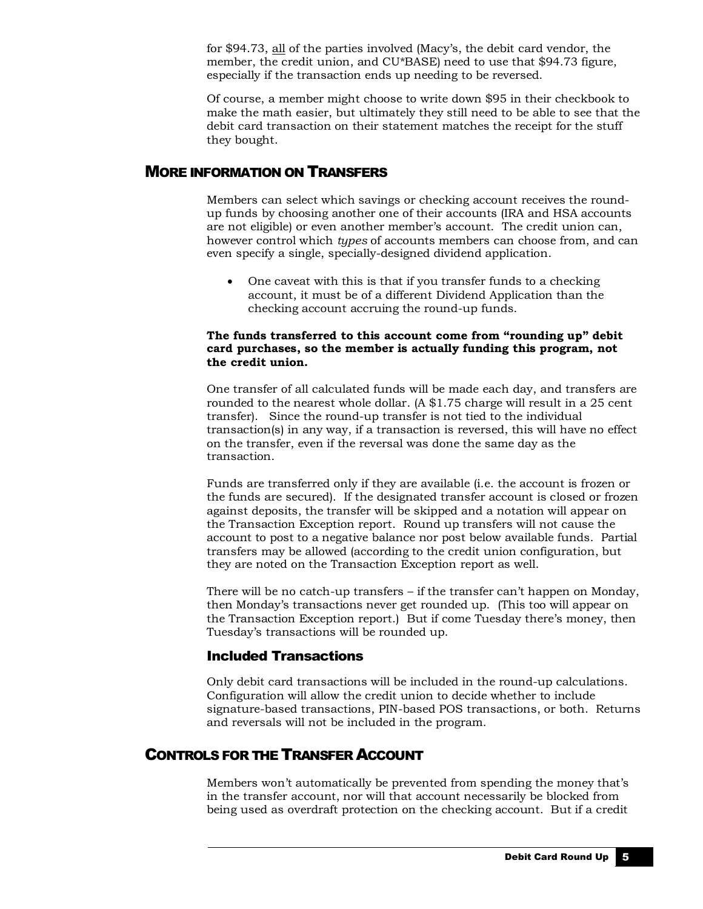for \$94.73, all of the parties involved (Macy's, the debit card vendor, the member, the credit union, and CU\*BASE) need to use that \$94.73 figure, especially if the transaction ends up needing to be reversed.

Of course, a member might choose to write down \$95 in their checkbook to make the math easier, but ultimately they still need to be able to see that the debit card transaction on their statement matches the receipt for the stuff they bought.

#### <span id="page-4-0"></span>MORE INFORMATION ON TRANSFERS

Members can select which savings or checking account receives the roundup funds by choosing another one of their accounts (IRA and HSA accounts are not eligible) or even another member's account. The credit union can, however control which *types* of accounts members can choose from, and can even specify a single, specially-designed dividend application.

• One caveat with this is that if you transfer funds to a checking account, it must be of a different Dividend Application than the checking account accruing the round-up funds.

#### **The funds transferred to this account come from "rounding up" debit card purchases, so the member is actually funding this program, not the credit union.**

One transfer of all calculated funds will be made each day, and transfers are rounded to the nearest whole dollar. (A \$1.75 charge will result in a 25 cent transfer). Since the round-up transfer is not tied to the individual transaction(s) in any way, if a transaction is reversed, this will have no effect on the transfer, even if the reversal was done the same day as the transaction.

Funds are transferred only if they are available (i.e. the account is frozen or the funds are secured). If the designated transfer account is closed or frozen against deposits, the transfer will be skipped and a notation will appear on the Transaction Exception report. Round up transfers will not cause the account to post to a negative balance nor post below available funds. Partial transfers may be allowed (according to the credit union configuration, but they are noted on the Transaction Exception report as well.

There will be no catch-up transfers – if the transfer can't happen on Monday, then Monday's transactions never get rounded up. (This too will appear on the Transaction Exception report.) But if come Tuesday there's money, then Tuesday's transactions will be rounded up.

#### Included Transactions

Only debit card transactions will be included in the round-up calculations. Configuration will allow the credit union to decide whether to include signature-based transactions, PIN-based POS transactions, or both. Returns and reversals will not be included in the program.

#### <span id="page-4-1"></span>CONTROLS FOR THE TRANSFER ACCOUNT

Members won't automatically be prevented from spending the money that's in the transfer account, nor will that account necessarily be blocked from being used as overdraft protection on the checking account. But if a credit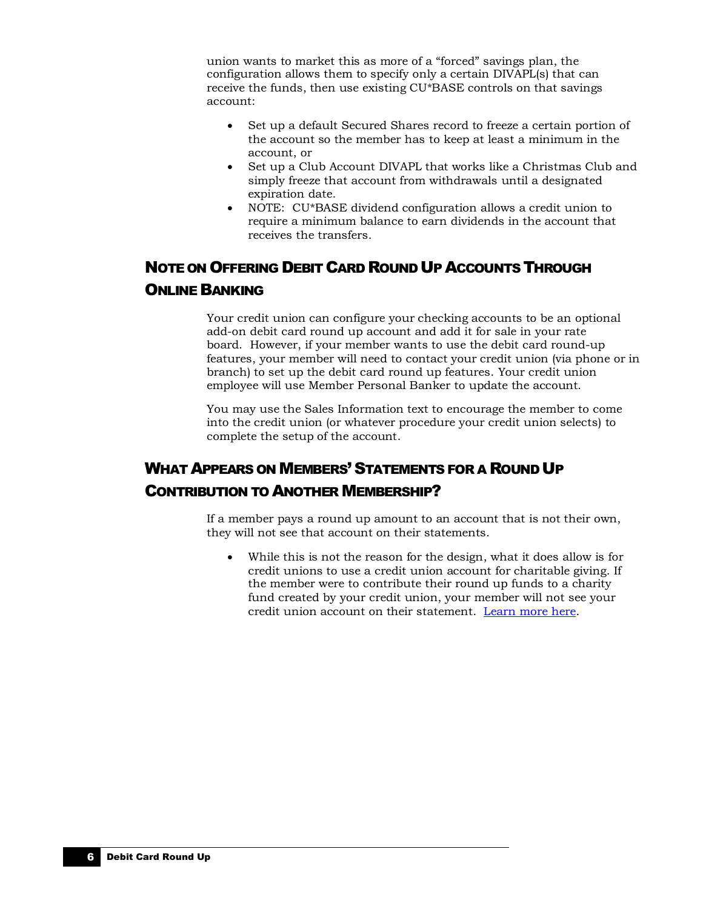union wants to market this as more of a "forced" savings plan, the configuration allows them to specify only a certain DIVAPL(s) that can receive the funds, then use existing CU\*BASE controls on that savings account:

- Set up a default Secured Shares record to freeze a certain portion of the account so the member has to keep at least a minimum in the account, or
- Set up a Club Account DIVAPL that works like a Christmas Club and simply freeze that account from withdrawals until a designated expiration date.
- NOTE: CU\*BASE dividend configuration allows a credit union to require a minimum balance to earn dividends in the account that receives the transfers.

### <span id="page-5-0"></span>NOTE ON OFFERING DEBIT CARD ROUND UP ACCOUNTS THROUGH ONLINE BANKING

Your credit union can configure your checking accounts to be an optional add-on debit card round up account and add it for sale in your rate board. However, if your member wants to use the debit card round-up features, your member will need to contact your credit union (via phone or in branch) to set up the debit card round up features. Your credit union employee will use Member Personal Banker to update the account.

You may use the Sales Information text to encourage the member to come into the credit union (or whatever procedure your credit union selects) to complete the setup of the account.

### <span id="page-5-1"></span>WHAT APPEARS ON MEMBERS' STATEMENTS FOR A ROUND UP CONTRIBUTION TO ANOTHER MEMBERSHIP?

If a member pays a round up amount to an account that is not their own, they will not see that account on their statements.

• While this is not the reason for the design, what it does allow is for credit unions to use a credit union account for charitable giving. If the member were to contribute their round up funds to a charity fund created by your credit union, your member will not see your credit union account on their statement. [Learn more here.](https://kb.cuanswers.com/cuanswers/ext/kbdetail.aspx?kbid=4777)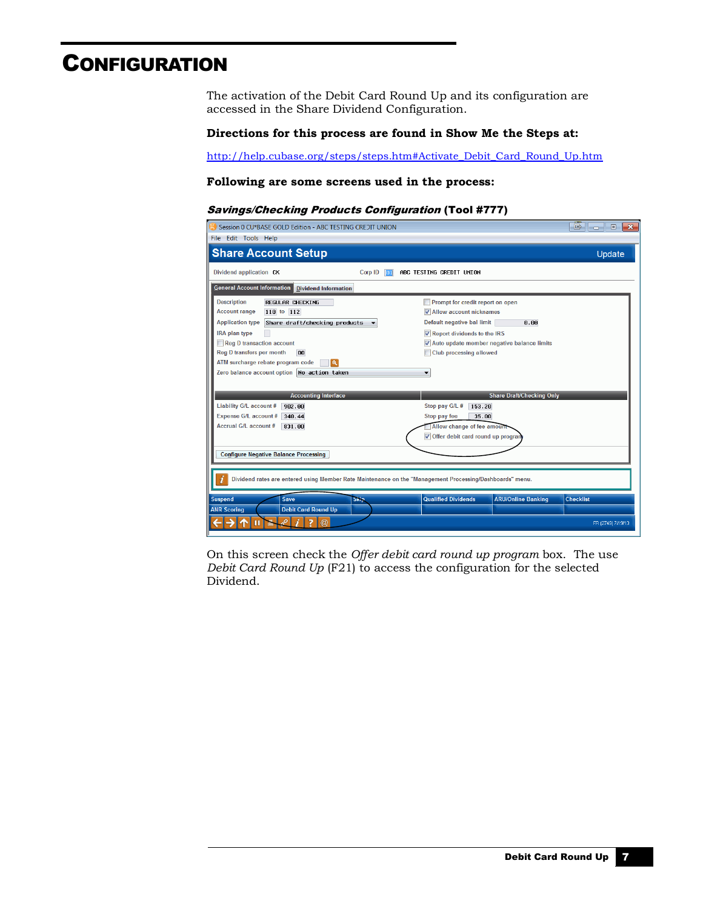### <span id="page-6-0"></span>**CONFIGURATION**

The activation of the Debit Card Round Up and its configuration are accessed in the Share Dividend Configuration.

#### **Directions for this process are found in Show Me the Steps at:**

[http://help.cubase.org/steps/steps.htm#Activate\\_Debit\\_Card\\_Round\\_Up.htm](http://help.cubase.org/steps/steps.htm#Activate_Debit_Card_Round_Up.htm)

#### **Following are some screens used in the process:**

#### Savings/Checking Products Configuration (Tool #777)

| Session 0 CU*BASE GOLD Edition - ABC TESTING CREDIT UNION                                                |       |                                                         | 国<br>$\mathbf{x}$<br>$\Box$<br>l o |
|----------------------------------------------------------------------------------------------------------|-------|---------------------------------------------------------|------------------------------------|
| File Edit Tools Help                                                                                     |       |                                                         |                                    |
| <b>Share Account Setup</b>                                                                               |       |                                                         | Update                             |
| Dividend application CK<br>Corp ID                                                                       | llo 1 | ABC TESTING CREDIT UNION                                |                                    |
| <b>General Account Information</b> Dividend Information                                                  |       |                                                         |                                    |
| <b>Description</b><br><b>REGULAR CHECKING</b>                                                            |       | Prompt for credit report on open                        |                                    |
| <b>Account range</b><br>110 to 112                                                                       |       | V Allow account nicknames                               |                                    |
| <b>Application type</b><br>Share draft/checking products                                                 |       | Default negative bal limit<br>0.00                      |                                    |
| IRA plan type                                                                                            |       | Report dividends to the IRS                             |                                    |
| Reg D transaction account                                                                                |       | V Auto update member negative balance limits            |                                    |
| Reg D transfers per month<br>00                                                                          |       | <b>Club processing allowed</b>                          |                                    |
| ATM surcharge rebate program code<br>$\mathbf{Q}$                                                        |       |                                                         |                                    |
| Zero balance account option No action taken                                                              |       | $\overline{\phantom{a}}$                                |                                    |
|                                                                                                          |       |                                                         |                                    |
| <b>Accounting Interface</b>                                                                              |       | <b>Share Draft/Checking Only</b>                        |                                    |
| Liability G/L account #<br>902.00                                                                        |       | Stop pay G/L #<br>153.20                                |                                    |
| <b>Expense G/L account #</b><br>340.44                                                                   |       | Stop pay fee<br>35.00                                   |                                    |
| <b>Accrual G/L account #</b><br>831.00                                                                   |       | Allow change of fee amount                              |                                    |
|                                                                                                          |       | Offer debit card round up program                       |                                    |
|                                                                                                          |       |                                                         |                                    |
| <b>Configure Negative Balance Processing</b>                                                             |       |                                                         |                                    |
|                                                                                                          |       |                                                         |                                    |
| Dividend rates are entered using Member Rate Maintenance on the "Management Processing/Dashboards" menu. |       |                                                         |                                    |
| <b>Suspend</b><br><b>Save</b><br><b>Skip</b>                                                             |       | <b>Qualified Dividends</b><br><b>ARU/Online Banking</b> | <b>Checklist</b>                   |
| <b>Debit Card Round Up</b><br><b>ANR Scoring</b>                                                         |       |                                                         |                                    |
| $\circledR$                                                                                              |       |                                                         | FR (2749) 7/19/13                  |

On this screen check the *Offer debit card round up program* box. The use *Debit Card Round Up* (F21) to access the configuration for the selected Dividend.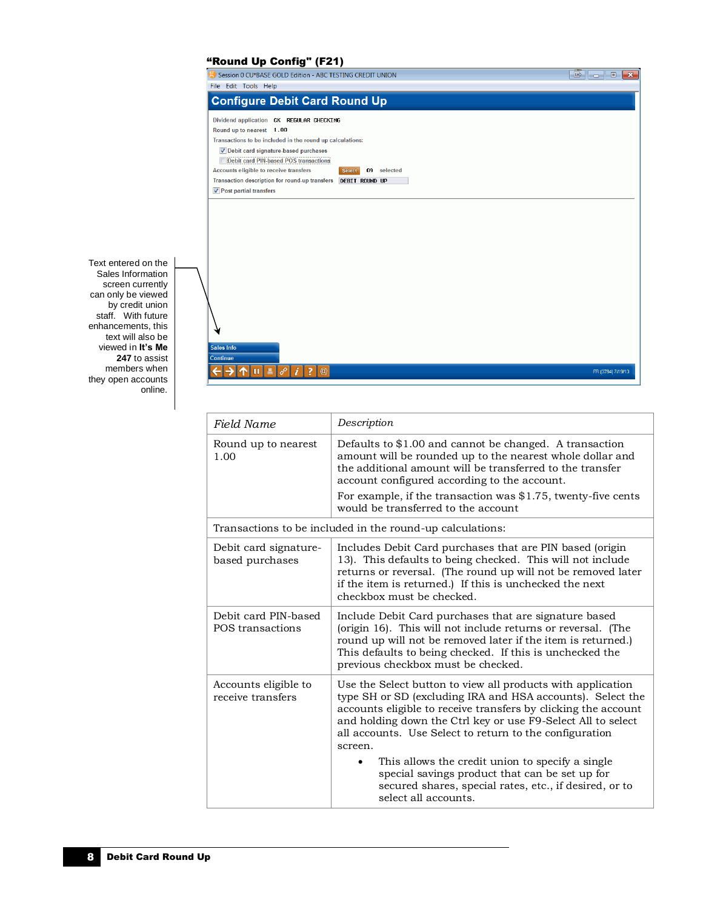#### "Round Up Config" (F21)

| помна ор оонну (гд!)<br>Session 0 CU*BASE GOLD Edition - ABC TESTING CREDIT UNION | $B$ $\Box$ $B$ |
|-----------------------------------------------------------------------------------|----------------|
| File Edit Tools Help                                                              |                |
|                                                                                   |                |
| <b>Configure Debit Card Round Up</b>                                              |                |
|                                                                                   |                |
| Dividend application CK REGULAR CHECKING                                          |                |
| Round up to nearest 1.00                                                          |                |
| Transactions to be included in the round up calculations:                         |                |
| Debit card signature-based purchases                                              |                |
| <b>Debit card PIN-based POS transactions</b>                                      |                |
| Accounts eligible to receive transfers<br>09 selected<br><b>Select</b>            |                |
| Transaction description for round-up transfers<br><b>DEBIT ROUND UP</b>           |                |
| √ Post partial transfers                                                          |                |
|                                                                                   |                |
|                                                                                   |                |
|                                                                                   |                |
|                                                                                   |                |
|                                                                                   |                |
|                                                                                   |                |
|                                                                                   |                |
|                                                                                   |                |
|                                                                                   |                |
|                                                                                   |                |
|                                                                                   |                |
|                                                                                   |                |
|                                                                                   |                |
|                                                                                   |                |
| <b>Sales Info</b>                                                                 |                |
| <b>Continue</b>                                                                   |                |

Text entered on the Sales Information screen currently can only be viewed by credit union staff. With future enhancements, this text will also be viewed in **It's Me 247** to assist members when they open accounts online.

| Field Name                                | Description                                                                                                                                                                                                                                                                                                                                 |  |  |
|-------------------------------------------|---------------------------------------------------------------------------------------------------------------------------------------------------------------------------------------------------------------------------------------------------------------------------------------------------------------------------------------------|--|--|
| Round up to nearest<br>1.00               | Defaults to \$1.00 and cannot be changed. A transaction<br>amount will be rounded up to the nearest whole dollar and<br>the additional amount will be transferred to the transfer<br>account configured according to the account.<br>For example, if the transaction was $$1.75$ , twenty-five cents<br>would be transferred to the account |  |  |
|                                           | Transactions to be included in the round-up calculations:                                                                                                                                                                                                                                                                                   |  |  |
| Debit card signature-<br>based purchases  | Includes Debit Card purchases that are PIN based (origin<br>13). This defaults to being checked. This will not include<br>returns or reversal. (The round up will not be removed later<br>if the item is returned.) If this is unchecked the next<br>checkbox must be checked.                                                              |  |  |
| Debit card PIN-based<br>POS transactions  | Include Debit Card purchases that are signature based<br>(origin 16). This will not include returns or reversal. (The<br>round up will not be removed later if the item is returned.)<br>This defaults to being checked. If this is unchecked the<br>previous checkbox must be checked.                                                     |  |  |
| Accounts eligible to<br>receive transfers | Use the Select button to view all products with application<br>type SH or SD (excluding IRA and HSA accounts). Select the<br>accounts eligible to receive transfers by clicking the account<br>and holding down the Ctrl key or use F9-Select All to select<br>all accounts. Use Select to return to the configuration<br>screen.           |  |  |
|                                           | This allows the credit union to specify a single<br>special savings product that can be set up for<br>secured shares, special rates, etc., if desired, or to<br>select all accounts.                                                                                                                                                        |  |  |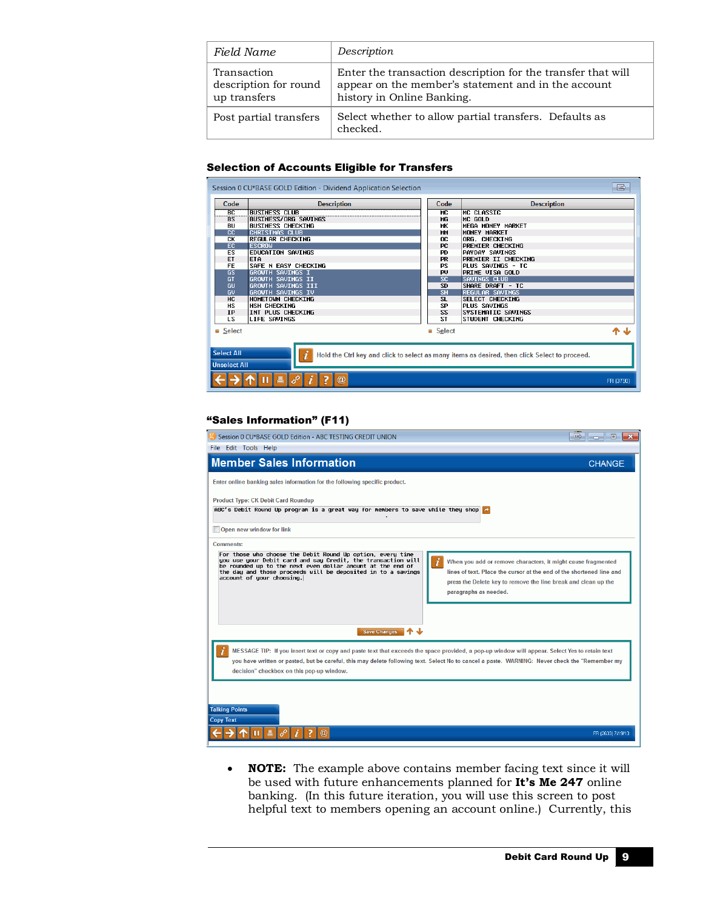| Field Name                                           | Description                                                                                                                                       |
|------------------------------------------------------|---------------------------------------------------------------------------------------------------------------------------------------------------|
| Transaction<br>description for round<br>up transfers | Enter the transaction description for the transfer that will<br>appear on the member's statement and in the account<br>history in Online Banking. |
| Post partial transfers                               | Select whether to allow partial transfers. Defaults as<br>checked.                                                                                |

#### Selection of Accounts Eligible for Transfers

| Code                                                                                                                                           | <b>Description</b>        | Code                                             |                                                  | <b>Description</b>      |  |
|------------------------------------------------------------------------------------------------------------------------------------------------|---------------------------|--------------------------------------------------|--------------------------------------------------|-------------------------|--|
| $\overline{BC}$                                                                                                                                | <b>BUSINESS CLUB</b>      | <b>MC</b>                                        |                                                  | MC CLASSIC              |  |
| <b>BS</b>                                                                                                                                      | BUSINESS/ORG SAVINGS      | MG                                               |                                                  | MC GOLD                 |  |
| <b>BU</b>                                                                                                                                      | <b>BUSINESS CHECKING</b>  | <b>MK</b>                                        |                                                  | MEGA MONEY MARKET       |  |
| cc                                                                                                                                             | <b>CHRISTMAS CLUB</b>     | <b>MM</b>                                        |                                                  | MONEY MARKET            |  |
| CК                                                                                                                                             | <b>REGULAR CHECKING</b>   | OC.                                              |                                                  | ORG. CHECKING           |  |
| EC.                                                                                                                                            | <b>ESCROW</b>             | <b>PC</b>                                        |                                                  | <b>PREMIER CHECKING</b> |  |
| <b>ES</b>                                                                                                                                      | <b>EDUCATION SAVINGS</b>  | <b>PD</b>                                        |                                                  | PAYDAY SAVINGS          |  |
| ET                                                                                                                                             | ETA                       | <b>PR</b>                                        |                                                  | PREMIER II CHECKING     |  |
| <b>FE</b>                                                                                                                                      | SAFE N EASY CHECKING      | <b>PS</b>                                        |                                                  | PLUS SAVINGS - TC       |  |
| GS                                                                                                                                             |                           | <b>GROWTH SAVINGS I</b><br>PRTME VISA GOLD<br>PU |                                                  |                         |  |
| GT                                                                                                                                             | GROWTH SAVINGS II         | $\overline{\text{SC}}$                           |                                                  | SAVINGS CLUB            |  |
| GU                                                                                                                                             | <b>GROWTH SAVINGS III</b> | <b>SD</b>                                        | SHARE DRAFT - TC                                 |                         |  |
| GU                                                                                                                                             | GROWTH SAVINGS IV         |                                                  | $\overline{\text{SH}}$<br><b>REGULAR SAVINGS</b> |                         |  |
| HC.                                                                                                                                            | HOMETOWN CHECKING         | SL.                                              |                                                  | <b>SELECT CHECKING</b>  |  |
| <b>HS</b>                                                                                                                                      | HSH CHECKING              | SP                                               |                                                  | PLUS SAVINGS            |  |
| <b>IP</b>                                                                                                                                      | INT PLUS CHECKING         | SS.                                              |                                                  | SYSTEMATIC SAVINGS      |  |
| LS.                                                                                                                                            | <b>LIFE SAVINGS</b>       | ST                                               |                                                  | STUDENT CHECKING        |  |
| Select                                                                                                                                         |                           | Select                                           |                                                  |                         |  |
| <b>Select All</b><br>i<br>Hold the Ctrl key and click to select as many items as desired, then click Select to proceed.<br><b>Unselect All</b> |                           |                                                  |                                                  |                         |  |
| $\circleda$<br>п<br>FR (3790)                                                                                                                  |                           |                                                  |                                                  |                         |  |

#### "Sales Information" (F11)

| Session 0 CU*BASE GOLD Edition - ABC TESTING CREDIT UNION                                                                                                                                                                                                                                                    | $\blacksquare$<br>$\Box$<br>$\mathbf{x}$                                                                                                                                                                                                                                                         |
|--------------------------------------------------------------------------------------------------------------------------------------------------------------------------------------------------------------------------------------------------------------------------------------------------------------|--------------------------------------------------------------------------------------------------------------------------------------------------------------------------------------------------------------------------------------------------------------------------------------------------|
| File Edit Tools Help                                                                                                                                                                                                                                                                                         |                                                                                                                                                                                                                                                                                                  |
| <b>Member Sales Information</b>                                                                                                                                                                                                                                                                              | <b>CHANGE</b>                                                                                                                                                                                                                                                                                    |
| Enter online banking sales information for the following specific product.                                                                                                                                                                                                                                   |                                                                                                                                                                                                                                                                                                  |
| <b>Product Type: CK Debit Card Roundup</b><br>ABC's Debit Round Up program is a great way for members to save while they shop $\triangle$                                                                                                                                                                    |                                                                                                                                                                                                                                                                                                  |
| Open new window for link                                                                                                                                                                                                                                                                                     |                                                                                                                                                                                                                                                                                                  |
| <b>Comments:</b>                                                                                                                                                                                                                                                                                             |                                                                                                                                                                                                                                                                                                  |
| For those who choose the Debit Round Up option, every time<br>you use your Debit card and say Credit, the transaction will<br>be rounded up to the next even dollar amount at the end of<br>the day and those proceeds will be deposited in to a savings<br>account of your choosing.<br><b>Save Changes</b> | When you add or remove characters, it might cause fragmented<br>lines of text. Place the cursor at the end of the shortened line and<br>press the Delete key to remove the line break and clean up the<br>paragraphs as needed.                                                                  |
| decision" checkbox on this pop-up window.                                                                                                                                                                                                                                                                    | MESSAGE TIP: If you insert text or copy and paste text that exceeds the space provided, a pop-up window will appear. Select Yes to retain text<br>you have written or pasted, but be careful, this may delete following text. Select No to cancel a paste. WARNING: Never check the "Remember my |
| <b>Talking Points</b><br><b>Copy Text</b>                                                                                                                                                                                                                                                                    | FR (2633) 7/19/13                                                                                                                                                                                                                                                                                |

• **NOTE:** The example above contains member facing text since it will be used with future enhancements planned for **It's Me 247** online banking. (In this future iteration, you will use this screen to post helpful text to members opening an account online.) Currently, this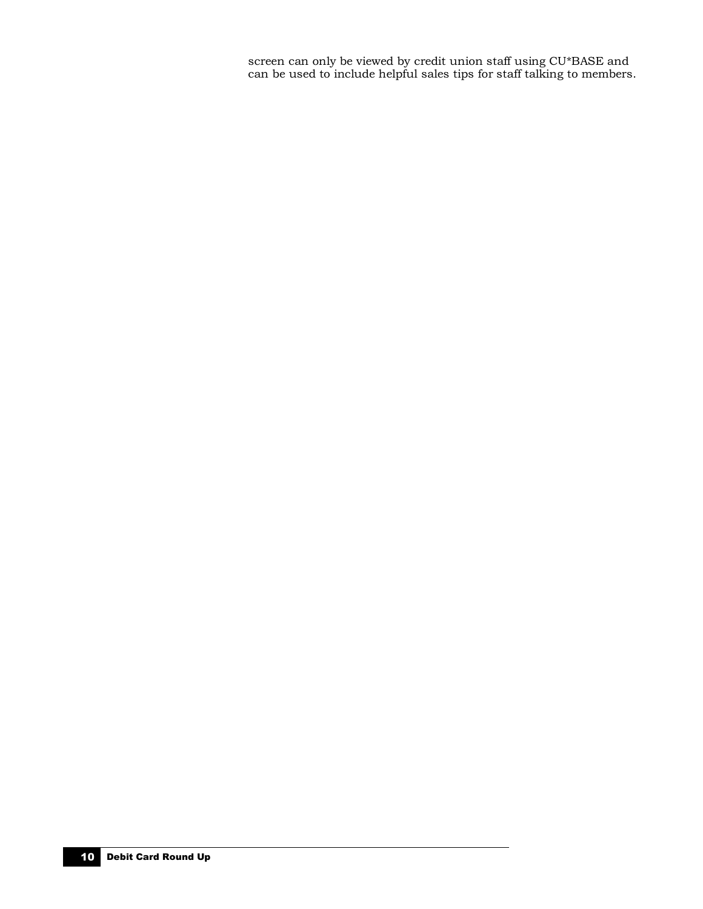screen can only be viewed by credit union staff using CU\*BASE and can be used to include helpful sales tips for staff talking to members.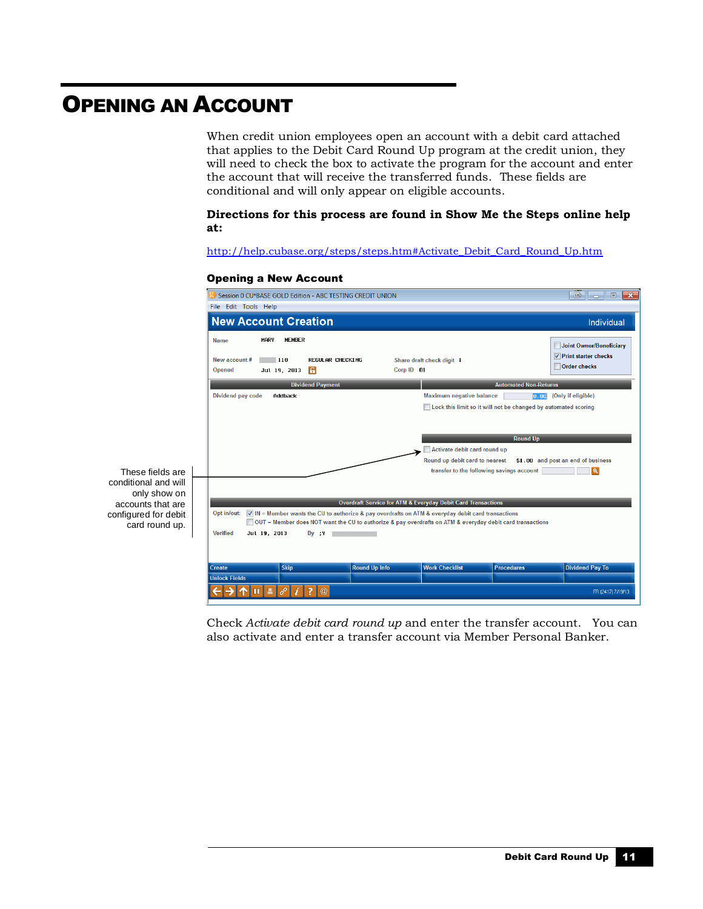### <span id="page-10-0"></span>OPENING AN ACCOUNT

When credit union employees open an account with a debit card attached that applies to the Debit Card Round Up program at the credit union, they will need to check the box to activate the program for the account and enter the account that will receive the transferred funds. These fields are conditional and will only appear on eligible accounts.

#### **Directions for this process are found in Show Me the Steps online help at:**

[http://help.cubase.org/steps/steps.htm#Activate\\_Debit\\_Card\\_Round\\_Up.htm](http://help.cubase.org/steps/steps.htm#Activate_Debit_Card_Round_Up.htm)

#### Opening a New Account



Check *Activate debit card round up* and enter the transfer account. You can also activate and enter a transfer account via Member Personal Banker.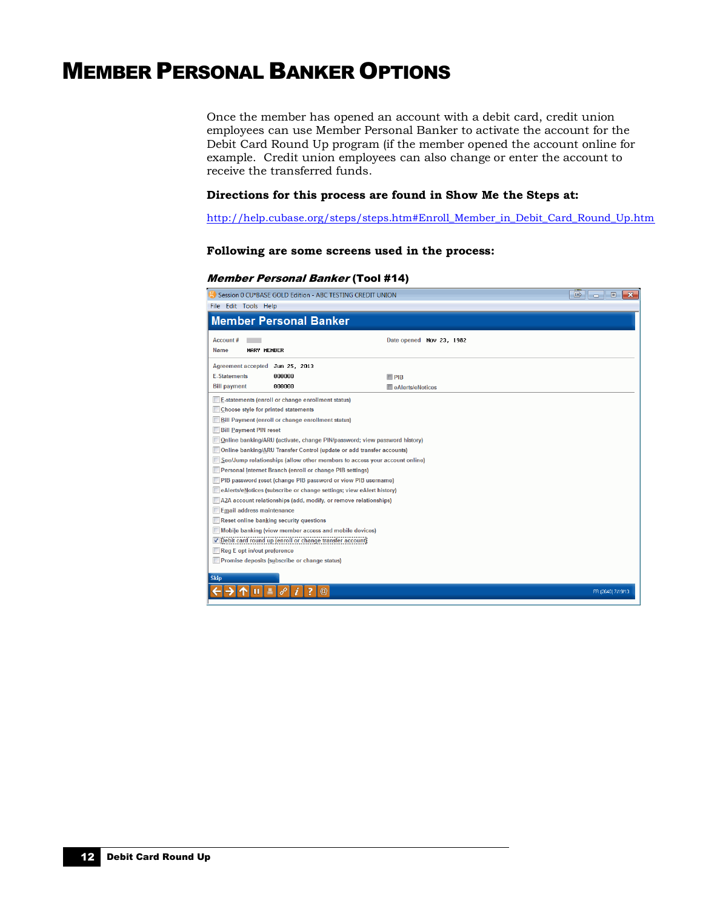### <span id="page-11-0"></span>MEMBER PERSONAL BANKER OPTIONS

Once the member has opened an account with a debit card, credit union employees can use Member Personal Banker to activate the account for the Debit Card Round Up program (if the member opened the account online for example. Credit union employees can also change or enter the account to receive the transferred funds.

#### **Directions for this process are found in Show Me the Steps at:**

[http://help.cubase.org/steps/steps.htm#Enroll\\_Member\\_in\\_Debit\\_Card\\_Round\\_Up.htm](http://help.cubase.org/steps/steps.htm#Enroll_Member_in_Debit_Card_Round_Up.htm)

#### **Following are some screens used in the process:**

#### Member Personal Banker (Tool #14)

| Session 0 CU*BASE GOLD Edition - ABC TESTING CREDIT UNION<br>国<br>$\boxed{0}$ |                           |                   |  |  |  |  |  |
|-------------------------------------------------------------------------------|---------------------------|-------------------|--|--|--|--|--|
| File Edit Tools Help                                                          |                           |                   |  |  |  |  |  |
| <b>Member Personal Banker</b>                                                 |                           |                   |  |  |  |  |  |
| <b>Account #</b>                                                              | Date opened Nov 23, 1982  |                   |  |  |  |  |  |
| <b>Name</b><br>MARY MEMBER                                                    |                           |                   |  |  |  |  |  |
| <b>Agreement accepted</b><br>Jun 25, 2013                                     |                           |                   |  |  |  |  |  |
| <b>E-Statements</b><br>000000                                                 | $\Box$ PIB                |                   |  |  |  |  |  |
| <b>Bill payment</b><br>000000                                                 | <b>E</b> eAlerts/eNotices |                   |  |  |  |  |  |
| <b>E-statements (enroll or change enrollment status)</b>                      |                           |                   |  |  |  |  |  |
| Choose style for printed statements                                           |                           |                   |  |  |  |  |  |
| <b>Bill Payment (enroll or change enrollment status)</b>                      |                           |                   |  |  |  |  |  |
| <b>Bill Payment PIN reset</b>                                                 |                           |                   |  |  |  |  |  |
| Online banking/ARU (activate, change PIN/password; view password history)     |                           |                   |  |  |  |  |  |
| Online banking/ARU Transfer Control (update or add transfer accounts)         |                           |                   |  |  |  |  |  |
| See/Jump relationships (allow other members to access your account online)    |                           |                   |  |  |  |  |  |
| Personal Internet Branch (enroll or change PIB settings)                      |                           |                   |  |  |  |  |  |
| PIB password reset (change PIB password or view PIB username)                 |                           |                   |  |  |  |  |  |
| eAlerts/eNotices (subscribe or change settings; view eAlert history)          |                           |                   |  |  |  |  |  |
| A2A account relationships (add, modify, or remove relationships)              |                           |                   |  |  |  |  |  |
| <b>Email address maintenance</b>                                              |                           |                   |  |  |  |  |  |
| Reset online banking security questions                                       |                           |                   |  |  |  |  |  |
| Mobile banking (view member access and mobile devices)                        |                           |                   |  |  |  |  |  |
| Debit card round up (enroll or change transfer account)                       |                           |                   |  |  |  |  |  |
| Reg E opt in/out preference                                                   |                           |                   |  |  |  |  |  |
| Promise deposits (subscribe or change status)                                 |                           |                   |  |  |  |  |  |
| <b>Skip</b>                                                                   |                           |                   |  |  |  |  |  |
| $^{\textregistered}$                                                          |                           | FR (2640) 7/19/13 |  |  |  |  |  |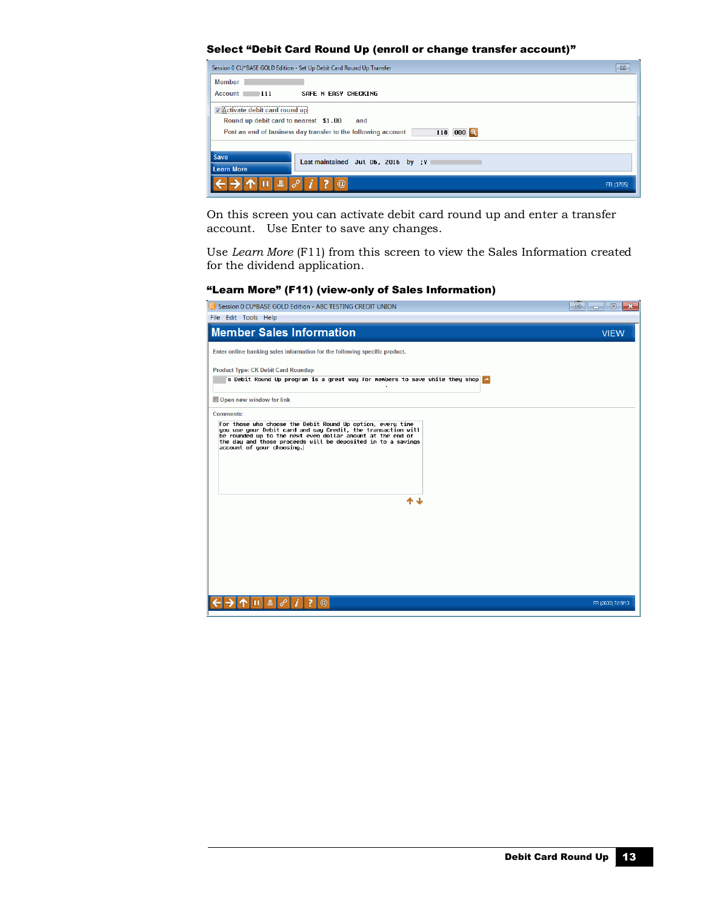#### Select "Debit Card Round Up (enroll or change transfer account)"

| Session 0 CU*BASE GOLD Edition - Set Up Debit Card Round Up Transfer                 | $\mathbb{B}$ |
|--------------------------------------------------------------------------------------|--------------|
| Member                                                                               |              |
| $Account \t 111$<br>SAFE N EASY CHECKING                                             |              |
| Activate debit card round up                                                         |              |
| Round up debit card to nearest \$1.00<br>and                                         |              |
| <b>000 Q</b><br>Post an end of business day transfer to the following account<br>118 |              |
|                                                                                      |              |
| Save<br>Last maintained Jul 06, 2016 by :Y                                           |              |
| <b>Learn More</b>                                                                    |              |
| $\circleda$<br>록                                                                     | FR (3785)    |

On this screen you can activate debit card round up and enter a transfer account. Use Enter to save any changes.

Use *Learn More* (F11) from this screen to view the Sales Information created for the dividend application.

#### "Learn More" (F11) (view-only of Sales Information)

| Session 0 CU*BASE GOLD Edition - ABC TESTING CREDIT UNION                                                                                                                                                                                                                                                 | 国<br>$\Box$       |
|-----------------------------------------------------------------------------------------------------------------------------------------------------------------------------------------------------------------------------------------------------------------------------------------------------------|-------------------|
| File Edit Tools Help                                                                                                                                                                                                                                                                                      |                   |
| <b>Member Sales Information</b>                                                                                                                                                                                                                                                                           | <b>VIEW</b>       |
| Enter online banking sales information for the following specific product.                                                                                                                                                                                                                                |                   |
| <b>Product Type: CK Debit Card Roundup</b><br>'s Debit Round Up program is a great way for members to save while they shop $\blacktriangle$                                                                                                                                                               |                   |
| Open new window for link                                                                                                                                                                                                                                                                                  |                   |
| <b>Comments:</b><br>For those who choose the Debit Round Up option, every time<br>you use your Debit card and say Credit, the transaction will<br>be rounded up to the next even dollar amount at the end of<br>the day and those proceeds will be deposited in to a savings<br>account of your choosing. |                   |
| ተ ተ                                                                                                                                                                                                                                                                                                       |                   |
| $\circledR$<br>7                                                                                                                                                                                                                                                                                          | FR (2633) 7/19/13 |